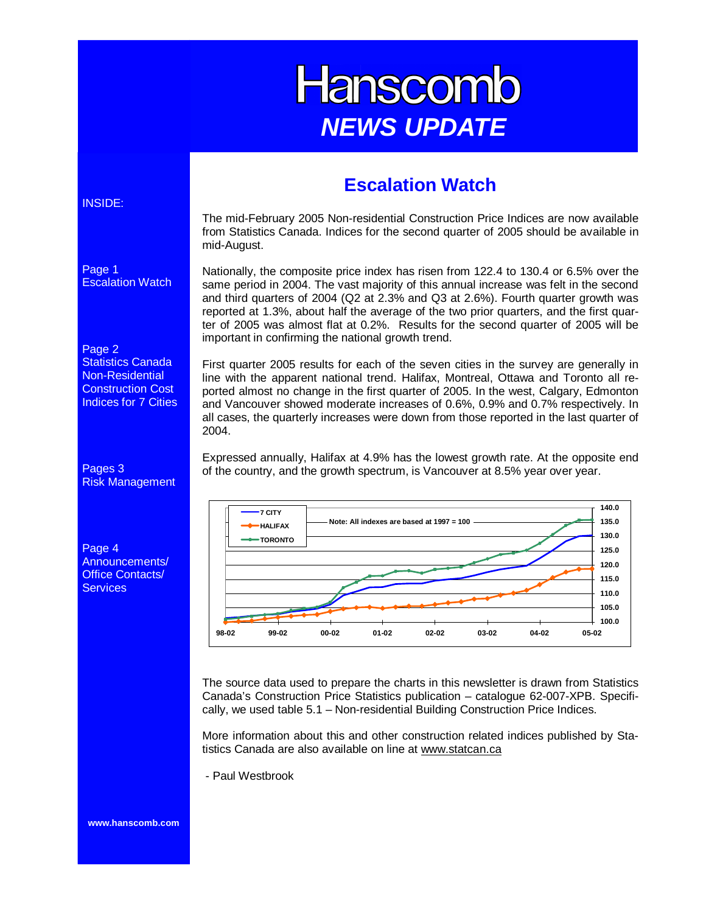# **Hanscomb NEWS UPDATE**

### **Escalation Watch**

#### The mid-February 2005 Non-residential Construction Price Indices are now available from Statistics Canada. Indices for the second quarter of 2005 should be available in mid-August.

Nationally, the composite price index has risen from 122.4 to 130.4 or 6.5% over the same period in 2004. The vast majority of this annual increase was felt in the second and third quarters of 2004 (Q2 at 2.3% and Q3 at 2.6%). Fourth quarter growth was reported at 1.3%, about half the average of the two prior quarters, and the first quarter of 2005 was almost flat at 0.2%. Results for the second quarter of 2005 will be important in confirming the national growth trend.

First quarter 2005 results for each of the seven cities in the survey are generally in line with the apparent national trend. Halifax, Montreal, Ottawa and Toronto all reported almost no change in the first quarter of 2005. In the west, Calgary, Edmonton and Vancouver showed moderate increases of 0.6%, 0.9% and 0.7% respectively. In all cases, the quarterly increases were down from those reported in the last quarter of 2004.

Expressed annually, Halifax at 4.9% has the lowest growth rate. At the opposite end of the country, and the growth spectrum, is Vancouver at 8.5% year over year.



The source data used to prepare the charts in this newsletter is drawn from Statistics Canada's Construction Price Statistics publication – catalogue 62-007-XPB. Specifically, we used table 5.1 – Non-residential Building Construction Price Indices.

More information about this and other construction related indices published by Statistics Canada are also available on line at www.statcan.ca

- Paul Westbrook

#### INSIDE:

Page 1

Escalation Watch

#### Page 2

Statistics Canada Non-Residential Construction Cost Indices for 7 Cities

Pages 3 Risk Management

Page 4 Announcements/ Office Contacts/ **Services** 

**www.hanscomb.com**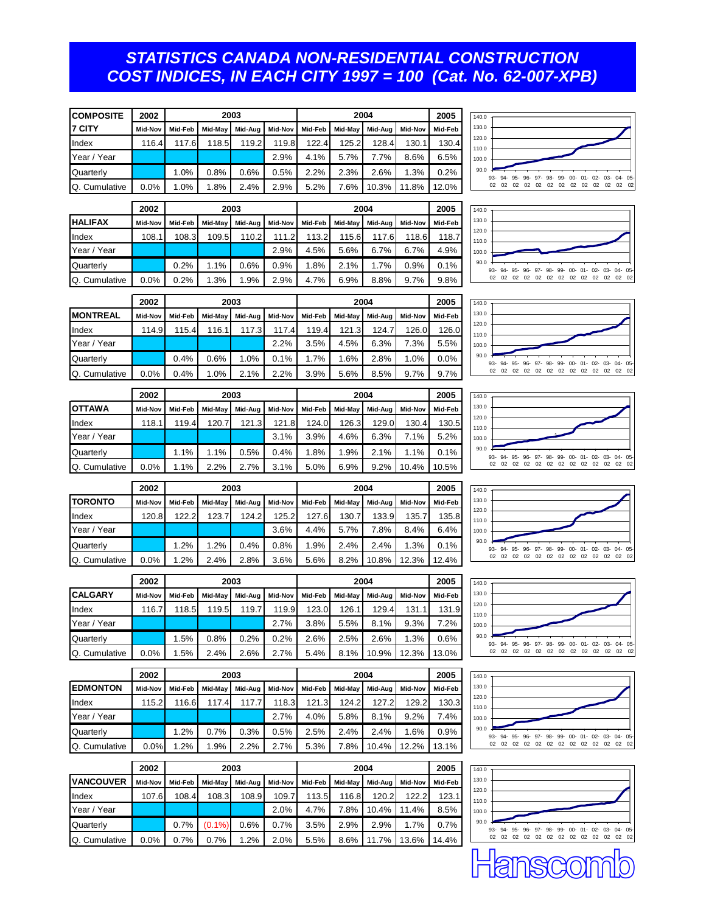#### *STATISTICS CANADA NON-RESIDENTIAL CONSTRUCTION COST INDICES, IN EACH CITY 1997 = 100 (Cat. No. 62-007-XPB)*

| <b>COMPOSITE</b> | 2002            | 2003         |              |              | 2004          |               |               |               | 2005          | 140.0           |                                                                      |
|------------------|-----------------|--------------|--------------|--------------|---------------|---------------|---------------|---------------|---------------|-----------------|----------------------------------------------------------------------|
| 7 CITY           | Mid-Nov         | Mid-Feb      | Mid-May      | Mid-Aug      | Mid-Nov       | Mid-Feb       | Mid-May       | Mid-Aug       | Mid-Nov       | Mid-Feb         | 130.0                                                                |
| Index            | 116.4           | 117.6        | 118.5        | 119.2        | 119.8         | 122.4         | 125.2         | 128.4         | 130.1         | 130.4           | 120.0<br>110.0                                                       |
| Year / Year      |                 |              |              |              | 2.9%          | 4.1%          | 5.7%          | 7.7%          | 8.6%          | 6.5%            | 100.0                                                                |
| Quarterly        |                 | 1.0%         | 0.8%         | 0.6%         | 0.5%          | 2.2%          | 2.3%          | 2.6%          | 1.3%          | 0.2%            | 90.0<br>93-<br>$94-$<br>95- 96- 97- 98- 99- 00- 01- 02- 03- 04- 05   |
| Q. Cumulative    | 0.0%            | 1.0%         | 1.8%         | 2.4%         | 2.9%          | 5.2%          | 7.6%          | 10.3%         | 11.8%         | 12.0%           | 02 02 02 02 02 02 02 02<br>02<br>02<br>02 02<br>02                   |
|                  | 2003<br>2002    |              |              |              | 2004          |               |               |               | 2005          | 140.0           |                                                                      |
| <b>HALIFAX</b>   | Mid-Nov         | Mid-Feb      | Mid-May      | Mid-Aug      | Mid-Nov       | Mid-Feb       | Mid-May       | Mid-Aug       | Mid-Nov       | Mid-Feb         | 130.0                                                                |
| Index            | 108.1           | 108.3        | 109.5        | 110.2        | 111.2         | 113.2         | 115.6         | 117.6         | 118.6         | 118.7           | 120.0                                                                |
| Year / Year      |                 |              |              |              | 2.9%          | 4.5%          | 5.6%          | 6.7%          | 6.7%          | 4.9%            | 110.0<br>100.0                                                       |
| Quarterly        |                 | 0.2%         | 1.1%         | 0.6%         | 0.9%          | 1.8%          | 2.1%          | 1.7%          | 0.9%          | 0.1%            | 90.0<br>96- 97- 98- 99- 00- 01- 02- 03- 04- 05                       |
| Q. Cumulative    | 0.0%            | 0.2%         | 1.3%         | 1.9%         | 2.9%          | 4.7%          | 6.9%          | 8.8%          | 9.7%          | 9.8%            | 94-95-                                                               |
|                  |                 |              |              |              |               |               |               |               |               |                 |                                                                      |
|                  | 2002            | 2003         |              |              | 2004          |               |               |               | 2005          | 140.0<br>130.0  |                                                                      |
| <b>MONTREAL</b>  | Mid-Nov         | Mid-Feb      | Mid-May      | Mid-Aug      | Mid-Nov       | Mid-Feb       | Mid-May       | Mid-Aug       | Mid-Nov       | Mid-Feb         | 120.0                                                                |
| Index            | 114.9           | 115.4        | 116.1        | 117.3        | 117.4<br>2.2% | 119.4<br>3.5% | 121.3<br>4.5% | 124.7<br>6.3% | 126.0<br>7.3% | 126.0<br>5.5%   | 110.0                                                                |
| Year / Year      |                 |              |              |              |               |               |               |               |               |                 | 100.0<br>90.0                                                        |
| Quarterly        | 0.0%            | 0.4%<br>0.4% | 0.6%<br>1.0% | 1.0%<br>2.1% | 0.1%          | 1.7%          | 1.6%          | 2.8%          | 1.0%<br>9.7%  | $0.0\%$         | 94-95-<br>$96 - 97 -$<br>98-99-00-01-02-03-<br>$04 - 05$<br>93-      |
| Q. Cumulative    |                 |              |              |              | 2.2%          | 3.9%          | 5.6%          | 8.5%          |               | 9.7%            |                                                                      |
|                  | 2002            |              |              | 2003         |               |               |               | 2004          |               | 2005            | 140.0                                                                |
| <b>OTTAWA</b>    | Mid-Nov         | Mid-Feb      | Mid-May      | Mid-Aug      | Mid-Nov       | Mid-Feb       | Mid-May       | Mid-Aug       | Mid-Nov       | Mid-Feb         | 130.0<br>120.0                                                       |
| Index            | 118.1           | 119.4        | 120.7        | 121.3        | 121.8         | 124.0         | 126.3         | 129.0         | 130.4         | 130.5           | 110.0                                                                |
| Year / Year      |                 |              |              |              | 3.1%          | 3.9%          | 4.6%          | 6.3%          | 7.1%          | 5.2%            | 100.0                                                                |
| Quarterly        |                 | 1.1%         | 1.1%         | 0.5%         | 0.4%          | 1.8%          | 1.9%          | 2.1%          | 1.1%          | 0.1%            | 90.0<br>$93 -$<br>$94-$<br>95- 96- 97- 98- 99-<br>00-01-02-03-04-05- |
| Q. Cumulative    | 0.0%            | 1.1%         | 2.2%         | 2.7%         | 3.1%          | 5.0%          | 6.9%          | 9.2%          | 10.4%         | 10.5%           |                                                                      |
|                  | 2002            | 2003         |              |              | 2004          |               |               |               | 2005          | 140.0           |                                                                      |
| <b>TORONTO</b>   | Mid-Nov         | Mid-Feb      | Mid-May      | Mid-Aug      | Mid-Nov       | Mid-Feb       | Mid-May       | Mid-Aug       | Mid-Nov       | Mid-Feb         | 130.0                                                                |
| Index            | 120.8           | 122.2        | 123.7        | 124.2        | 125.2         | 127.6         | 130.7         | 133.9         | 135.7         | 135.8           | 120.0<br>110.0                                                       |
| Year / Year      |                 |              |              |              | 3.6%          | 4.4%          | 5.7%          | 7.8%          | 8.4%          | 6.4%            | 100.0                                                                |
| Quarterly        |                 | 1.2%         | 1.2%         | 0.4%         | $0.8\%$       | 1.9%          | 2.4%          | 2.4%          | 1.3%          | 0.1%            | 90.0<br>94- 95- 96- 97- 98- 99- 00- 01- 02- 03-<br>$04 - 05$         |
| Q. Cumulative    | 0.0%            | 1.2%         | 2.4%         | 2.8%         | 3.6%          | 5.6%          | 8.2%          | 10.8%         | 12.3%         | 12.4%           | 02 02 02 02 02 02 02 02 02 02<br>02<br>02 02<br>02                   |
|                  |                 | 2003         |              |              |               | 2004          |               |               |               |                 |                                                                      |
| CALGARY          | 2002<br>Mid-Nov | Mid-Feb      | Mid-May      | Mid-Aug      | Mid-Nov       | Mid-Feb       | Mid-May       | Mid-Aug       | Mid-Nov       | 2005<br>Mid-Feb | 140.0<br>130.0                                                       |
| Index            | 116.7           | 118.5        | 119.5        | 119.7        | 119.9         | 123.0         | 126.1         | 129.4         | 131.1         | 131.9           | 120.0                                                                |
| Year / Year      |                 |              |              |              | 2.7%          | 3.8%          | 5.5%          | 8.1%          | 9.3%          | 7.2%            | 110.0<br>100.0                                                       |
| Quarterly        |                 | 1.5%         | 0.8%         | 0.2%         | 0.2%          | 2.6%          | 2.5%          | 2.6%          | 1.3%          | 0.6%            | 90.0                                                                 |
| Q. Cumulative    | 0.0%            | 1.5%         | 2.4%         | 2.6%         | 2.7%          | 5.4%          | 8.1%          | 10.9%         | 12.3%         | 13.0%           | 93- 94- 95- 96- 97- 98- 99- 00- 01- 02- 03- 04- 05-                  |
|                  |                 |              |              |              |               |               |               |               |               |                 |                                                                      |
|                  | 2002            |              |              | 2003         |               |               |               | 2004          |               | 2005            | 140.0                                                                |
| <b>EDMONTON</b>  | Mid-Nov         | Mid-Feb      | Mid-May      | Mid-Aug      | Mid-Nov       | Mid-Feb       | Mid-May       | Mid-Aug       | Mid-Nov       | Mid-Feb         | 130.0<br>120.0                                                       |
| Index            | 115.2           | 116.6        | 117.4        | 117.7        | 118.3         | 121.3         | 124.2         | 127.2         | 129.2         | 130.3           | 110.0                                                                |
| Year / Year      |                 |              |              |              | 2.7%          | 4.0%          | 5.8%          | 8.1%          | 9.2%          | 7.4%            | 100.0<br>90.0                                                        |
| Quarterly        |                 | 1.2%         | 0.7%         | 0.3%         | 0.5%          | 2.5%          | 2.4%          | 2.4%          | 1.6%          | 0.9%            | 94- 95- 96- 97- 98- 99- 00- 01- 02- 03-<br>$04 - 05$<br>93-          |
| Q. Cumulative    | 0.0%            | 1.2%         | 1.9%         | 2.2%         | 2.7%          | 5.3%          | 7.8%          | 10.4%         | 12.2%         | 13.1%           |                                                                      |
|                  | 2002            | 2003         |              |              |               | 2004          |               |               |               | 2005            | 140.0                                                                |
| <b>VANCOUVER</b> | Mid-Nov         | Mid-Feb      | Mid-May      | Mid-Aug      | Mid-Nov       | Mid-Feb       | Mid-May       | Mid-Aug       | Mid-Nov       | Mid-Feb         | 130.0                                                                |
| Index            | 107.6           | 108.4        | 108.3        | 108.9        | 109.7         | 113.5         | 116.8         | 120.2         | 122.2         | 123.1           | 120.0<br>110.0                                                       |
| Year / Year      |                 |              |              |              | 2.0%          | 4.7%          | 7.8%          | 10.4%         | 11.4%         | 8.5%            | 100.0                                                                |
| Quarterly        |                 | 0.7%         | $(0.1\%)$    | 0.6%         | 0.7%          | 3.5%          | 2.9%          | 2.9%          | 1.7%          | 0.7%            | 90.0<br>93- 94- 95- 96- 97- 98- 99- 00- 01- 02- 03- 04- 05-          |
| Q. Cumulative    | 0.0%            | 0.7%         | 0.7%         | 1.2%         | 2.0%          | 5.5%          | 8.6%          | 11.7%         | 13.6%         | 14.4%           |                                                                      |
|                  |                 |              |              |              |               |               |               |               |               |                 |                                                                      |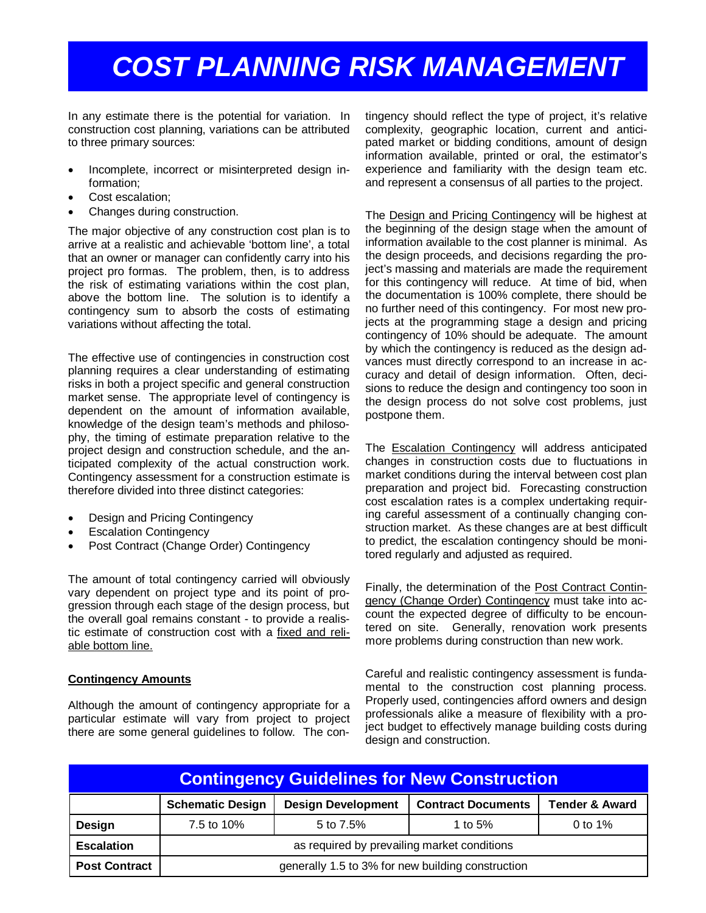## *COST PLANNING RISK MANAGEMENT*

In any estimate there is the potential for variation. In construction cost planning, variations can be attributed to three primary sources:

- Incomplete, incorrect or misinterpreted design information;
- Cost escalation;
- Changes during construction.

The major objective of any construction cost plan is to arrive at a realistic and achievable 'bottom line', a total that an owner or manager can confidently carry into his project pro formas. The problem, then, is to address the risk of estimating variations within the cost plan, above the bottom line. The solution is to identify a contingency sum to absorb the costs of estimating variations without affecting the total.

The effective use of contingencies in construction cost planning requires a clear understanding of estimating risks in both a project specific and general construction market sense. The appropriate level of contingency is dependent on the amount of information available, knowledge of the design team's methods and philosophy, the timing of estimate preparation relative to the project design and construction schedule, and the anticipated complexity of the actual construction work. Contingency assessment for a construction estimate is therefore divided into three distinct categories:

- Design and Pricing Contingency
- **Escalation Contingency**
- Post Contract (Change Order) Contingency

The amount of total contingency carried will obviously vary dependent on project type and its point of progression through each stage of the design process, but the overall goal remains constant - to provide a realistic estimate of construction cost with a fixed and reliable bottom line.

#### **Contingency Amounts**

Although the amount of contingency appropriate for a particular estimate will vary from project to project there are some general guidelines to follow. The con-

tingency should reflect the type of project, it's relative complexity, geographic location, current and anticipated market or bidding conditions, amount of design information available, printed or oral, the estimator's experience and familiarity with the design team etc. and represent a consensus of all parties to the project.

The Design and Pricing Contingency will be highest at the beginning of the design stage when the amount of information available to the cost planner is minimal. As the design proceeds, and decisions regarding the project's massing and materials are made the requirement for this contingency will reduce. At time of bid, when the documentation is 100% complete, there should be no further need of this contingency. For most new projects at the programming stage a design and pricing contingency of 10% should be adequate. The amount by which the contingency is reduced as the design advances must directly correspond to an increase in accuracy and detail of design information. Often, decisions to reduce the design and contingency too soon in the design process do not solve cost problems, just postpone them.

The Escalation Contingency will address anticipated changes in construction costs due to fluctuations in market conditions during the interval between cost plan preparation and project bid. Forecasting construction cost escalation rates is a complex undertaking requiring careful assessment of a continually changing construction market. As these changes are at best difficult to predict, the escalation contingency should be monitored regularly and adjusted as required.

Finally, the determination of the Post Contract Contingency (Change Order) Contingency must take into account the expected degree of difficulty to be encountered on site. Generally, renovation work presents more problems during construction than new work.

Careful and realistic contingency assessment is fundamental to the construction cost planning process. Properly used, contingencies afford owners and design professionals alike a measure of flexibility with a project budget to effectively manage building costs during design and construction.

| <b>Contingency Guidelines for New Construction</b> |                                                   |                           |                           |                           |  |  |  |  |  |  |
|----------------------------------------------------|---------------------------------------------------|---------------------------|---------------------------|---------------------------|--|--|--|--|--|--|
|                                                    | <b>Schematic Design</b>                           | <b>Design Development</b> | <b>Contract Documents</b> | <b>Tender &amp; Award</b> |  |  |  |  |  |  |
| Design                                             | 7.5 to 10%                                        | 5 to 7.5%                 | 1 to 5%                   | 0 to $1\%$                |  |  |  |  |  |  |
| Escalation                                         | as required by prevailing market conditions       |                           |                           |                           |  |  |  |  |  |  |
| <b>Post Contract</b>                               | generally 1.5 to 3% for new building construction |                           |                           |                           |  |  |  |  |  |  |